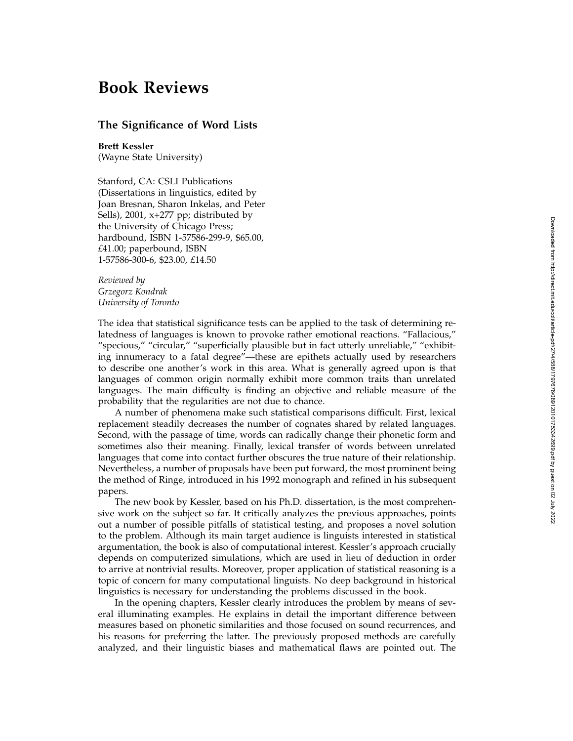## Downloaded from http://direct.mit.edu/coli/article-pdf/27/4/588/1797676/089120101753342699.pdf by guest on 02 July 2022 Downloaded from http://direct.mit.edu/coli/article-pdf/27/4/588/1797676/089120101753342699.pdf by guest on 02 July 2022

## **Book Reviews**

## **The Significance of Word Lists**

**Brett Kessler** (Wayne State University)

Stanford, CA: CSLI Publications (Dissertations in linguistics, edited by Joan Bresnan, Sharon Inkelas, and Peter Sells), 2001, x+277 pp; distributed by the University of Chicago Press; hardbound, ISBN 1-57586-299-9, \$65.00, *£*41.00; paperbound, ISBN 1-57586-300-6, \$23.00, *£*14.50

*Reviewed by Grzegorz Kondrak University of Toronto*

The idea that statistical significance tests can be applied to the task of determining relatedness of languages is known to provoke rather emotional reactions. "Fallacious," "specious," "circular," "superficially plausible but in fact utterly unreliable," "exhibiting innumeracy to a fatal degree"—these are epithets actually used by researchers to describe one another's work in this area. What is generally agreed upon is that languages of common origin normally exhibit more common traits than unrelated languages. The main difficulty is finding an objective and reliable measure of the probability that the regularities are not due to chance.

A number of phenomena make such statistical comparisons difficult. First, lexical replacement steadily decreases the number of cognates shared by related languages. Second, with the passage of time, words can radically change their phonetic form and sometimes also their meaning. Finally, lexical transfer of words between unrelated languages that come into contact further obscures the true nature of their relationship. Nevertheless, a number of proposals have been put forward, the most prominent being the method of Ringe, introduced in his 1992 monograph and refined in his subsequent papers.

The new book by Kessler, based on his Ph.D. dissertation, is the most comprehensive work on the subject so far. It critically analyzes the previous approaches, points out a number of possible pitfalls of statistical testing, and proposes a novel solution to the problem. Although its main target audience is linguists interested in statistical argumentation, the book is also of computational interest. Kessler's approach crucially depends on computerized simulations, which are used in lieu of deduction in order to arrive at nontrivial results. Moreover, proper application of statistical reasoning is a topic of concern for many computational linguists. No deep background in historical linguistics is necessary for understanding the problems discussed in the book.

In the opening chapters, Kessler clearly introduces the problem by means of several illuminating examples. He explains in detail the important difference between measures based on phonetic similarities and those focused on sound recurrences, and his reasons for preferring the latter. The previously proposed methods are carefully analyzed, and their linguistic biases and mathematical flaws are pointed out. The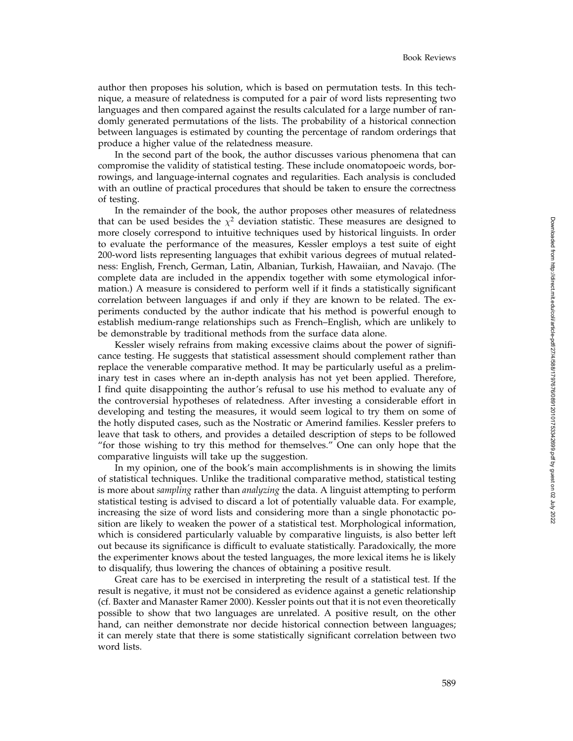author then proposes his solution, which is based on permutation tests. In this technique, a measure of relatedness is computed for a pair of word lists representing two languages and then compared against the results calculated for a large number of randomly generated permutations of the lists. The probability of a historical connection between languages is estimated by counting the percentage of random orderings that produce a higher value of the relatedness measure.

In the second part of the book, the author discusses various phenomena that can compromise the validity of statistical testing. These include onomatopoeic words, borrowings, and language-internal cognates and regularities. Each analysis is concluded with an outline of practical procedures that should be taken to ensure the correctness of testing.

In the remainder of the book, the author proposes other measures of relatedness that can be used besides the  $\chi^2$  deviation statistic. These measures are designed to more closely correspond to intuitive techniques used by historical linguists. In order to evaluate the performance of the measures, Kessler employs a test suite of eight 200-word lists representing languages that exhibit various degrees of mutual relatedness: English, French, German, Latin, Albanian, Turkish, Hawaiian, and Navajo. (The complete data are included in the appendix together with some etymological information.) A measure is considered to perform well if it finds a statistically significant correlation between languages if and only if they are known to be related. The experiments conducted by the author indicate that his method is powerful enough to establish medium-range relationships such as French–English, which are unlikely to be demonstrable by traditional methods from the surface data alone.

Kessler wisely refrains from making excessive claims about the power of significance testing. He suggests that statistical assessment should complement rather than replace the venerable comparative method. It may be particularly useful as a preliminary test in cases where an in-depth analysis has not yet been applied. Therefore, I find quite disappointing the author's refusal to use his method to evaluate any of the controversial hypotheses of relatedness. After investing a considerable effort in developing and testing the measures, it would seem logical to try them on some of the hotly disputed cases, such as the Nostratic or Amerind families. Kessler prefers to leave that task to others, and provides a detailed description of steps to be followed "for those wishing to try this method for themselves." One can only hope that the comparative linguists will take up the suggestion.

In my opinion, one of the book's main accomplishments is in showing the limits of statistical techniques. Unlike the traditional comparative method, statistical testing is more about *sampling* rather than *analyzing* the data. A linguist attempting to perform statistical testing is advised to discard a lot of potentially valuable data. For example, increasing the size of word lists and considering more than a single phonotactic position are likely to weaken the power of a statistical test. Morphological information, which is considered particularly valuable by comparative linguists, is also better left out because its significance is difficult to evaluate statistically. Paradoxically, the more the experimenter knows about the tested languages, the more lexical items he is likely to disqualify, thus lowering the chances of obtaining a positive result.

Great care has to be exercised in interpreting the result of a statistical test. If the result is negative, it must not be considered as evidence against a genetic relationship (cf. Baxter and Manaster Ramer 2000). Kessler points out that it is not even theoretically possible to show that two languages are unrelated. A positive result, on the other hand, can neither demonstrate nor decide historical connection between languages; it can merely state that there is some statistically significant correlation between two word lists.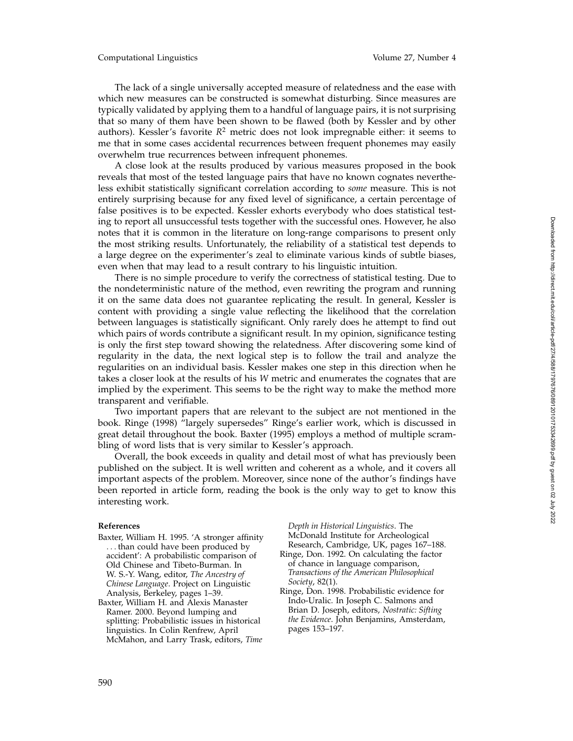The lack of a single universally accepted measure of relatedness and the ease with which new measures can be constructed is somewhat disturbing. Since measures are typically validated by applying them to a handful of language pairs, it is not surprising that so many of them have been shown to be flawed (both by Kessler and by other authors). Kessler's favorite  $R^2$  metric does not look impregnable either: it seems to me that in some cases accidental recurrences between frequent phonemes may easily overwhelm true recurrences between infrequent phonemes.

A close look at the results produced by various measures proposed in the book reveals that most of the tested language pairs that have no known cognates nevertheless exhibit statistically significant correlation according to *some* measure. This is not entirely surprising because for any fixed level of significance, a certain percentage of false positives is to be expected. Kessler exhorts everybody who does statistical testing to report all unsuccessful tests together with the successful ones. However, he also notes that it is common in the literature on long-range comparisons to present only the most striking results. Unfortunately, the reliability of a statistical test depends to a large degree on the experimenter's zeal to eliminate various kinds of subtle biases, even when that may lead to a result contrary to his linguistic intuition.

There is no simple procedure to verify the correctness of statistical testing. Due to the nondeterministic nature of the method, even rewriting the program and running it on the same data does not guarantee replicating the result. In general, Kessler is content with providing a single value reflecting the likelihood that the correlation between languages is statistically significant. Only rarely does he attempt to find out which pairs of words contribute a significant result. In my opinion, significance testing is only the first step toward showing the relatedness. After discovering some kind of regularity in the data, the next logical step is to follow the trail and analyze the regularities on an individual basis. Kessler makes one step in this direction when he takes a closer look at the results of his *W* metric and enumerates the cognates that are implied by the experiment. This seems to be the right way to make the method more transparent and verifiable.

Two important papers that are relevant to the subject are not mentioned in the book. Ringe (1998) "largely supersedes" Ringe's earlier work, which is discussed in great detail throughout the book. Baxter (1995) employs a method of multiple scrambling of word lists that is very similar to Kessler's approach.

Overall, the book exceeds in quality and detail most of what has previously been published on the subject. It is well written and coherent as a whole, and it covers all important aspects of the problem. Moreover, since none of the author's findings have been reported in article form, reading the book is the only way to get to know this interesting work.

## **References**

- Baxter, William H. 1995. 'A stronger affinity ... than could have been produced by accident': A probabilistic comparison of Old Chinese and Tibeto-Burman. In W. S.-Y. Wang, editor, *The Ancestry of Chinese Language*. Project on Linguistic Analysis, Berkeley, pages 1–39.
- Baxter, William H. and Alexis Manaster Ramer. 2000. Beyond lumping and splitting: Probabilistic issues in historical linguistics. In Colin Renfrew, April McMahon, and Larry Trask, editors, *Time*

*Depth in Historical Linguistics*. The McDonald Institute for Archeological Research, Cambridge, UK, pages 167–188.

- Ringe, Don. 1992. On calculating the factor of chance in language comparison, *Transactions of the American Philosophical Society*, 82(1).
- Ringe, Don. 1998. Probabilistic evidence for Indo-Uralic. In Joseph C. Salmons and Brian D. Joseph, editors, *Nostratic: Sifting the Evidence*. John Benjamins, Amsterdam, pages 153–197.